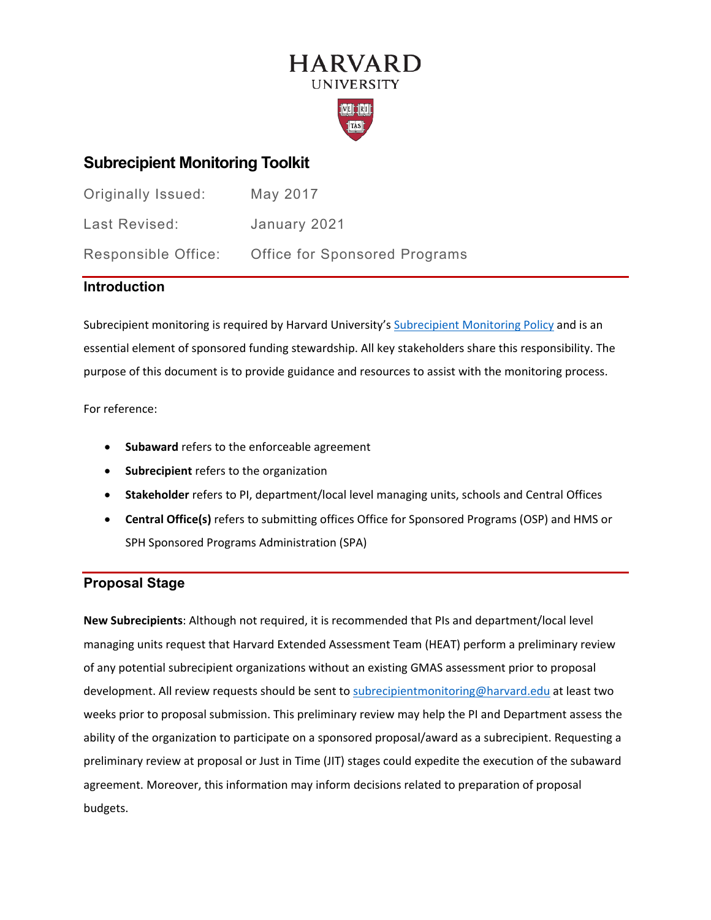# **HARVARD UNIVERSITY**



## **Subrecipient Monitoring Toolkit**

| Originally Issued:  | May 2017                             |
|---------------------|--------------------------------------|
| Last Revised:       | January 2021                         |
| Responsible Office: | <b>Office for Sponsored Programs</b> |

## **Introduction**

Subrecipient monitoring is required by Harvard University's [Subrecipient Monitoring Policy](https://osp.finance.harvard.edu/subrecipient-monitoring-policy) and is an essential element of sponsored funding stewardship. All key stakeholders share this responsibility. The purpose of this document is to provide guidance and resources to assist with the monitoring process.

For reference:

- **Subaward** refers to the enforceable agreement
- **Subrecipient** refers to the organization
- **Stakeholder** refers to PI, department/local level managing units, schools and Central Offices
- **Central Office(s)** refers to submitting offices Office for Sponsored Programs (OSP) and HMS or SPH Sponsored Programs Administration (SPA)

## **Proposal Stage**

**New Subrecipients**: Although not required, it is recommended that PIs and department/local level managing units request that Harvard Extended Assessment Team (HEAT) perform a preliminary review of any potential subrecipient organizations without an existing GMAS assessment prior to proposal development. All review requests should be sent to [subrecipientmonitoring@harvard.edu](mailto:subrecipientmonitoring@harvard.edu) at least two weeks prior to proposal submission. This preliminary review may help the PI and Department assess the ability of the organization to participate on a sponsored proposal/award as a subrecipient. Requesting a preliminary review at proposal or Just in Time (JIT) stages could expedite the execution of the subaward agreement. Moreover, this information may inform decisions related to preparation of proposal budgets.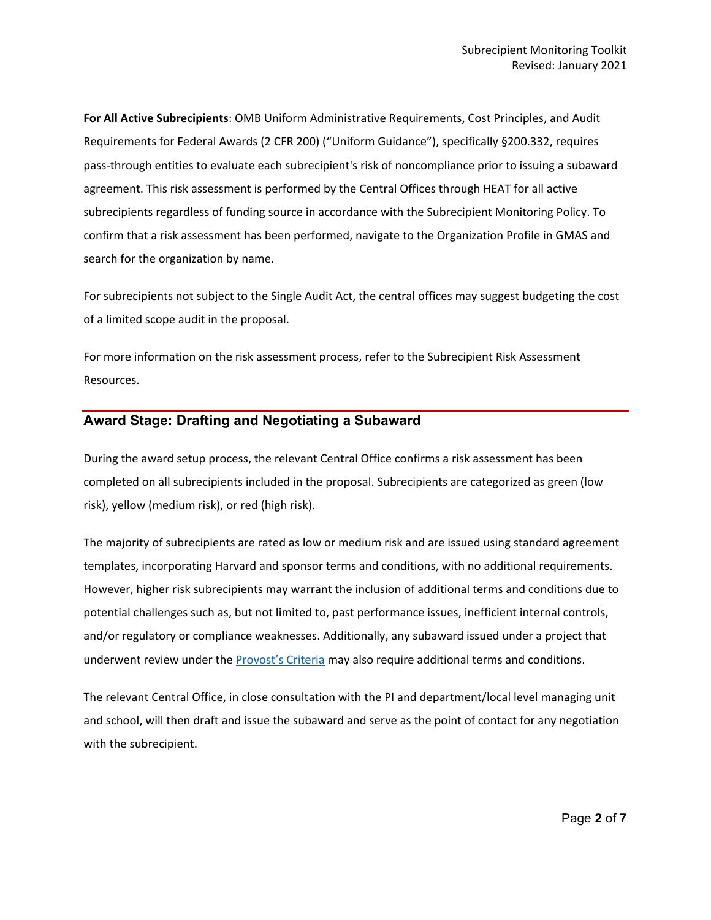**For All Active Subrecipients**: OMB Uniform Administrative Requirements, Cost Principles, and Audit Requirements for Federal Awards (2 CFR 200) ("Uniform Guidance"), specifically §200.332, requires pass-through entities to evaluate each subrecipient's risk of noncompliance prior to issuing a subaward agreement. This risk assessment is performed by the Central Offices through HEAT for all active subrecipients regardless of funding source in accordance with the Subrecipient Monitoring Policy. To confirm that a risk assessment has been performed, navigate to the Organization Profile in GMAS and search for the organization by name.

For subrecipients not subject to the Single Audit Act, the central offices may suggest budgeting the cost of a limited scope audit in the proposal.

For more information on the risk assessment process, refer to the Subrecipient Risk Assessment Resources.

#### **Award Stage: Drafting and Negotiating a Subaward**

During the award setup process, the relevant Central Office confirms a risk assessment has been completed on all subrecipients included in the proposal. Subrecipients are categorized as green (low risk), yellow (medium risk), or red (high risk).

The majority of subrecipients are rated as low or medium risk and are issued using standard agreement templates, incorporating Harvard and sponsor terms and conditions, with no additional requirements. However, higher risk subrecipients may warrant the inclusion of additional terms and conditions due to potential challenges such as, but not limited to, past performance issues, inefficient internal controls, and/or regulatory or compliance weaknesses. Additionally, any subaward issued under a project that underwent review under the [Provost's Criteria](https://vpr.harvard.edu/2021/02/17/provost-criteria-for-review/) may also require additional terms and conditions.

The relevant Central Office, in close consultation with the PI and department/local level managing unit and school, will then draft and issue the subaward and serve as the point of contact for any negotiation with the subrecipient.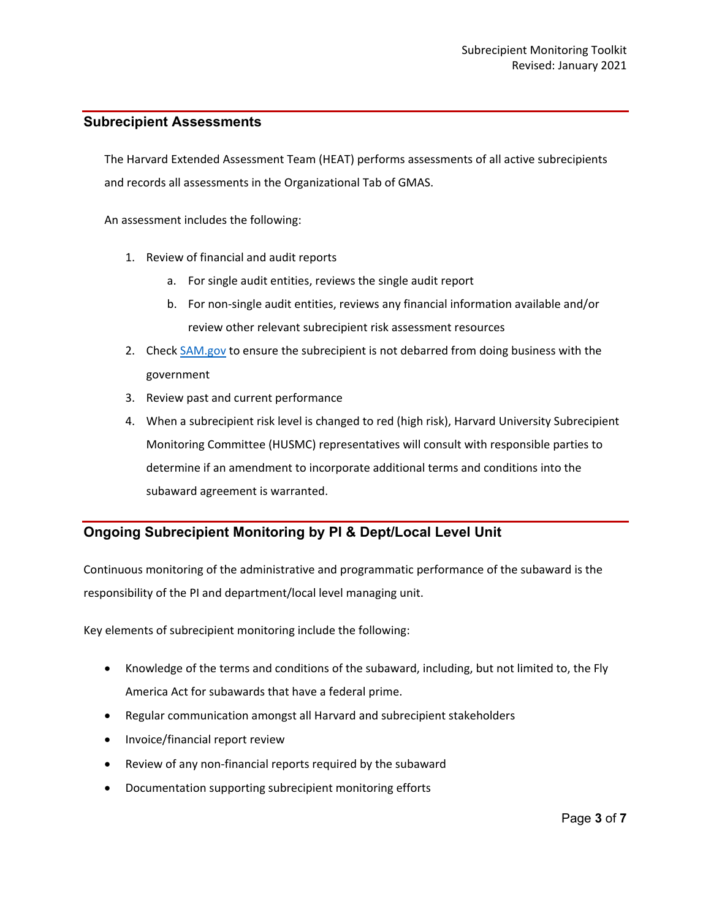#### **Subrecipient Assessments**

The Harvard Extended Assessment Team (HEAT) performs assessments of all active subrecipients and records all assessments in the Organizational Tab of GMAS.

An assessment includes the following:

- 1. Review of financial and audit reports
	- a. For single audit entities, reviews the single audit report
	- b. For non-single audit entities, reviews any financial information available and/or review other relevant subrecipient risk assessment resources
- 2. Check [SAM.gov](https://sam.gov/SAM/) to ensure the subrecipient is not debarred from doing business with the government
- 3. Review past and current performance
- 4. When a subrecipient risk level is changed to red (high risk), Harvard University Subrecipient Monitoring Committee (HUSMC) representatives will consult with responsible parties to determine if an amendment to incorporate additional terms and conditions into the subaward agreement is warranted.

## **Ongoing Subrecipient Monitoring by PI & Dept/Local Level Unit**

Continuous monitoring of the administrative and programmatic performance of the subaward is the responsibility of the PI and department/local level managing unit.

Key elements of subrecipient monitoring include the following:

- Knowledge of the terms and conditions of the subaward, including, but not limited to, the Fly America Act for subawards that have a federal prime.
- Regular communication amongst all Harvard and subrecipient stakeholders
- Invoice/financial report review
- Review of any non-financial reports required by the subaward
- Documentation supporting subrecipient monitoring efforts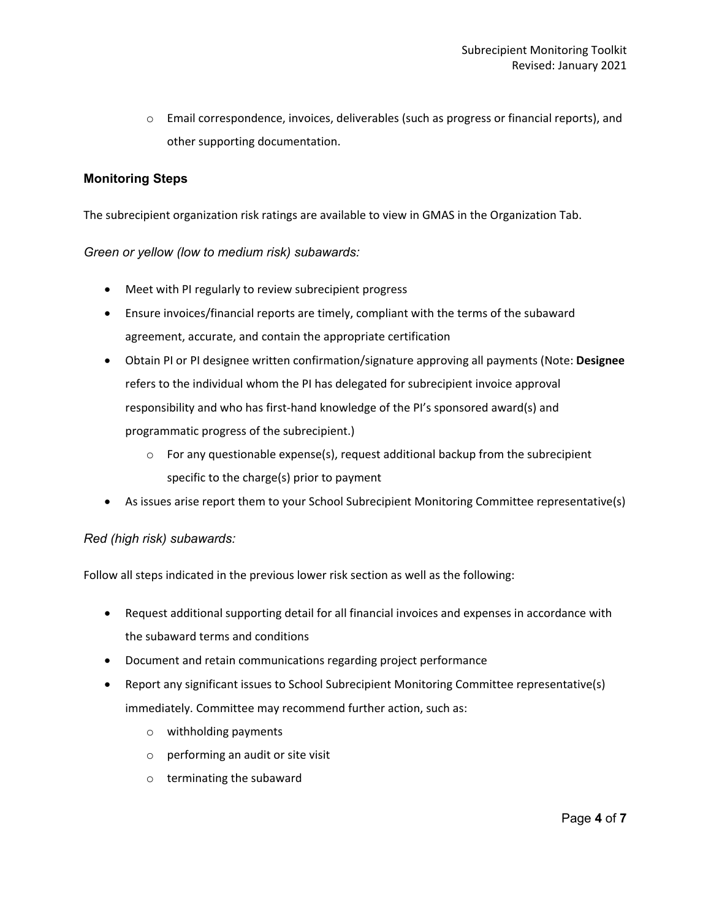o Email correspondence, invoices, deliverables (such as progress or financial reports), and other supporting documentation.

#### **Monitoring Steps**

The subrecipient organization risk ratings are available to view in GMAS in the Organization Tab.

#### *Green or yellow (low to medium risk) subawards:*

- Meet with PI regularly to review subrecipient progress
- Ensure invoices/financial reports are timely, compliant with the terms of the subaward agreement, accurate, and contain the appropriate certification
- Obtain PI or PI designee written confirmation/signature approving all payments (Note: **Designee** refers to the individual whom the PI has delegated for subrecipient invoice approval responsibility and who has first-hand knowledge of the PI's sponsored award(s) and programmatic progress of the subrecipient.)
	- $\circ$  For any questionable expense(s), request additional backup from the subrecipient specific to the charge(s) prior to payment
- As issues arise report them to your School Subrecipient Monitoring Committee representative(s)

#### *Red (high risk) subawards:*

Follow all steps indicated in the previous lower risk section as well as the following:

- Request additional supporting detail for all financial invoices and expenses in accordance with the subaward terms and conditions
- Document and retain communications regarding project performance
- Report any significant issues to School Subrecipient Monitoring Committee representative(s) immediately. Committee may recommend further action, such as:
	- o withholding payments
	- o performing an audit or site visit
	- o terminating the subaward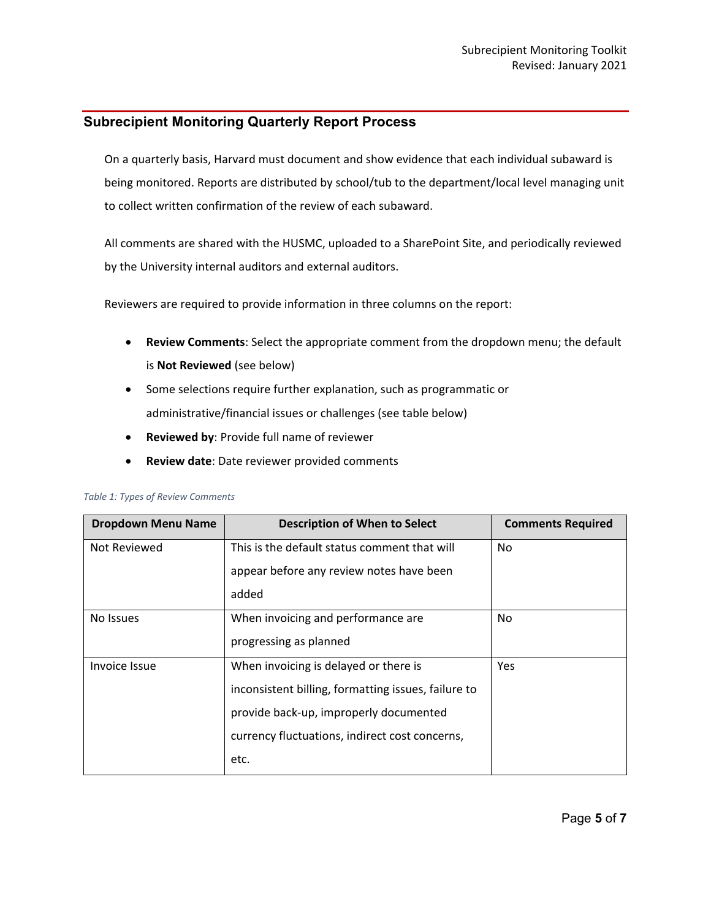### **Subrecipient Monitoring Quarterly Report Process**

On a quarterly basis, Harvard must document and show evidence that each individual subaward is being monitored. Reports are distributed by school/tub to the department/local level managing unit to collect written confirmation of the review of each subaward.

All comments are shared with the HUSMC, uploaded to a SharePoint Site, and periodically reviewed by the University internal auditors and external auditors.

Reviewers are required to provide information in three columns on the report:

- **Review Comments**: Select the appropriate comment from the dropdown menu; the default is **Not Reviewed** (see below)
- Some selections require further explanation, such as programmatic or administrative/financial issues or challenges (see table below)
- **Reviewed by**: Provide full name of reviewer
- **Review date**: Date reviewer provided comments

| <b>Dropdown Menu Name</b> | <b>Description of When to Select</b>                | <b>Comments Required</b> |
|---------------------------|-----------------------------------------------------|--------------------------|
| Not Reviewed              | This is the default status comment that will        | No                       |
|                           | appear before any review notes have been            |                          |
|                           | added                                               |                          |
| No Issues                 | When invoicing and performance are                  | No.                      |
|                           | progressing as planned                              |                          |
| Invoice Issue             | When invoicing is delayed or there is               | <b>Yes</b>               |
|                           | inconsistent billing, formatting issues, failure to |                          |
|                           | provide back-up, improperly documented              |                          |
|                           | currency fluctuations, indirect cost concerns,      |                          |
|                           | etc.                                                |                          |

#### *Table 1: Types of Review Comments*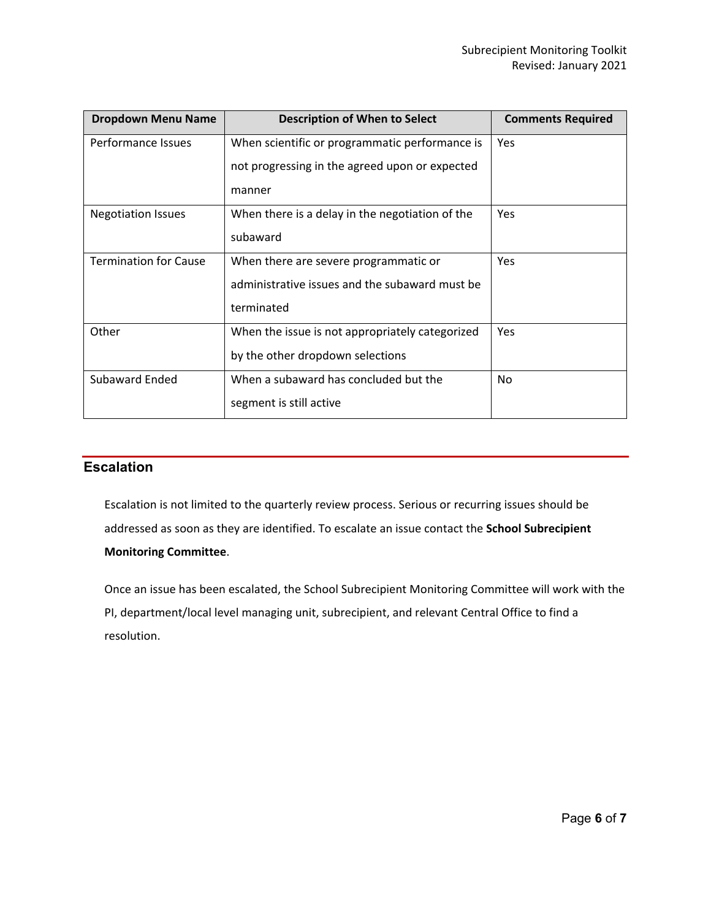| <b>Dropdown Menu Name</b>    | <b>Description of When to Select</b>            | <b>Comments Required</b> |
|------------------------------|-------------------------------------------------|--------------------------|
| Performance Issues           | When scientific or programmatic performance is  | Yes                      |
|                              | not progressing in the agreed upon or expected  |                          |
|                              | manner                                          |                          |
| <b>Negotiation Issues</b>    | When there is a delay in the negotiation of the | Yes                      |
|                              | subaward                                        |                          |
| <b>Termination for Cause</b> | When there are severe programmatic or           | Yes                      |
|                              | administrative issues and the subaward must be  |                          |
|                              | terminated                                      |                          |
| Other                        | When the issue is not appropriately categorized | Yes                      |
|                              | by the other dropdown selections                |                          |
| Subaward Ended               | When a subaward has concluded but the           | No                       |
|                              | segment is still active                         |                          |

## **Escalation**

Escalation is not limited to the quarterly review process. Serious or recurring issues should be addressed as soon as they are identified. To escalate an issue contact the **School Subrecipient Monitoring Committee**.

Once an issue has been escalated, the School Subrecipient Monitoring Committee will work with the PI, department/local level managing unit, subrecipient, and relevant Central Office to find a resolution.